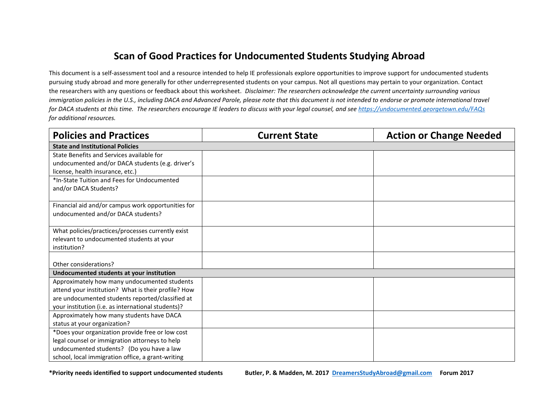## **Scan of Good Practices for Undocumented Students Studying Abroad**

This document is a self-assessment tool and a resource intended to help IE professionals explore opportunities to improve support for undocumented students pursuing study abroad and more generally for other underrepresented students on your campus. Not all questions may pertain to your organization. Contact the researchers with any questions or feedback about this worksheet*. Disclaimer: The researchers acknowledge the current uncertainty surrounding various immigration policies in the U.S., including DACA and Advanced Parole, please note that this document is not intended to endorse or promote international travel for DACA students at this time. The researchers encourage IE leaders to discuss with your legal counsel, and se[e https://undocumented.georgetown.edu/FAQs](https://undocumented.georgetown.edu/FAQs) for additional resources.*

| <b>Policies and Practices</b>                       | <b>Current State</b> | <b>Action or Change Needed</b> |  |
|-----------------------------------------------------|----------------------|--------------------------------|--|
| <b>State and Institutional Policies</b>             |                      |                                |  |
| State Benefits and Services available for           |                      |                                |  |
| undocumented and/or DACA students (e.g. driver's    |                      |                                |  |
| license, health insurance, etc.)                    |                      |                                |  |
| *In-State Tuition and Fees for Undocumented         |                      |                                |  |
| and/or DACA Students?                               |                      |                                |  |
|                                                     |                      |                                |  |
| Financial aid and/or campus work opportunities for  |                      |                                |  |
| undocumented and/or DACA students?                  |                      |                                |  |
| What policies/practices/processes currently exist   |                      |                                |  |
| relevant to undocumented students at your           |                      |                                |  |
| institution?                                        |                      |                                |  |
|                                                     |                      |                                |  |
| Other considerations?                               |                      |                                |  |
| Undocumented students at your institution           |                      |                                |  |
| Approximately how many undocumented students        |                      |                                |  |
| attend your institution? What is their profile? How |                      |                                |  |
| are undocumented students reported/classified at    |                      |                                |  |
| your institution (i.e. as international students)?  |                      |                                |  |
| Approximately how many students have DACA           |                      |                                |  |
| status at your organization?                        |                      |                                |  |
| *Does your organization provide free or low cost    |                      |                                |  |
| legal counsel or immigration attorneys to help      |                      |                                |  |
| undocumented students? (Do you have a law           |                      |                                |  |
| school, local immigration office, a grant-writing   |                      |                                |  |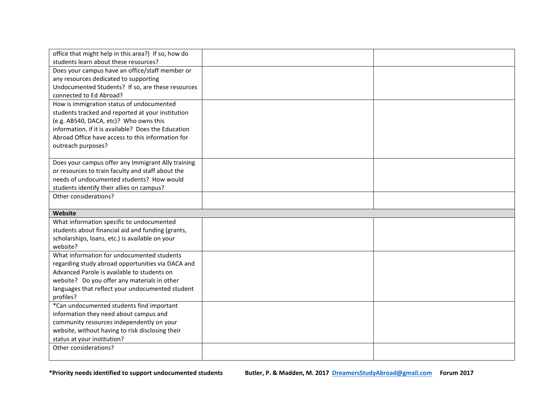| office that might help in this area?) If so, how do |  |
|-----------------------------------------------------|--|
| students learn about these resources?               |  |
| Does your campus have an office/staff member or     |  |
| any resources dedicated to supporting               |  |
| Undocumented Students? If so, are these resources   |  |
| connected to Ed Abroad?                             |  |
| How is immigration status of undocumented           |  |
| students tracked and reported at your institution   |  |
| (e.g. AB540, DACA, etc)? Who owns this              |  |
| information, if it is available? Does the Education |  |
| Abroad Office have access to this information for   |  |
| outreach purposes?                                  |  |
|                                                     |  |
| Does your campus offer any Immigrant Ally training  |  |
| or resources to train faculty and staff about the   |  |
| needs of undocumented students? How would           |  |
| students identify their allies on campus?           |  |
| Other considerations?                               |  |
|                                                     |  |
|                                                     |  |
| Website                                             |  |
| What information specific to undocumented           |  |
| students about financial aid and funding (grants,   |  |
| scholarships, loans, etc.) is available on your     |  |
| website?                                            |  |
| What information for undocumented students          |  |
| regarding study abroad opportunities via DACA and   |  |
| Advanced Parole is available to students on         |  |
| website? Do you offer any materials in other        |  |
| languages that reflect your undocumented student    |  |
| profiles?                                           |  |
| *Can undocumented students find important           |  |
| information they need about campus and              |  |
| community resources independently on your           |  |
| website, without having to risk disclosing their    |  |
| status at your institution?                         |  |
| Other considerations?                               |  |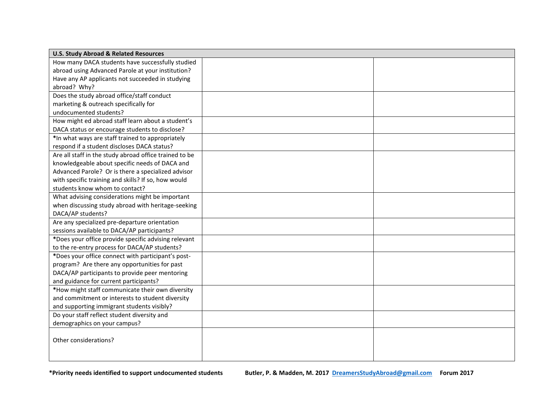| <b>U.S. Study Abroad &amp; Related Resources</b>       |  |  |
|--------------------------------------------------------|--|--|
| How many DACA students have successfully studied       |  |  |
| abroad using Advanced Parole at your institution?      |  |  |
| Have any AP applicants not succeeded in studying       |  |  |
| abroad? Why?                                           |  |  |
| Does the study abroad office/staff conduct             |  |  |
| marketing & outreach specifically for                  |  |  |
| undocumented students?                                 |  |  |
| How might ed abroad staff learn about a student's      |  |  |
| DACA status or encourage students to disclose?         |  |  |
| *In what ways are staff trained to appropriately       |  |  |
| respond if a student discloses DACA status?            |  |  |
| Are all staff in the study abroad office trained to be |  |  |
| knowledgeable about specific needs of DACA and         |  |  |
| Advanced Parole? Or is there a specialized advisor     |  |  |
| with specific training and skills? If so, how would    |  |  |
| students know whom to contact?                         |  |  |
| What advising considerations might be important        |  |  |
| when discussing study abroad with heritage-seeking     |  |  |
| DACA/AP students?                                      |  |  |
| Are any specialized pre-departure orientation          |  |  |
| sessions available to DACA/AP participants?            |  |  |
| *Does your office provide specific advising relevant   |  |  |
| to the re-entry process for DACA/AP students?          |  |  |
| *Does your office connect with participant's post-     |  |  |
| program? Are there any opportunities for past          |  |  |
| DACA/AP participants to provide peer mentoring         |  |  |
| and guidance for current participants?                 |  |  |
| *How might staff communicate their own diversity       |  |  |
| and commitment or interests to student diversity       |  |  |
| and supporting immigrant students visibly?             |  |  |
| Do your staff reflect student diversity and            |  |  |
| demographics on your campus?                           |  |  |
| Other considerations?                                  |  |  |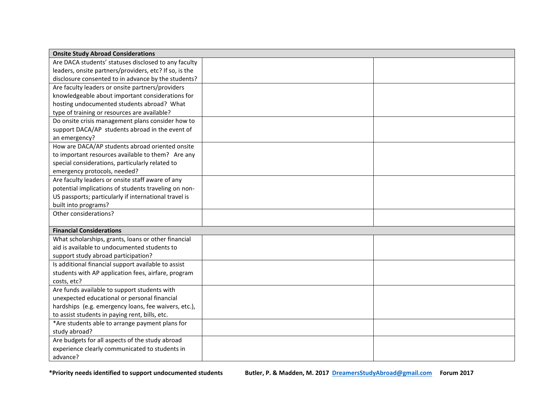| <b>Onsite Study Abroad Considerations</b>              |  |  |  |
|--------------------------------------------------------|--|--|--|
| Are DACA students' statuses disclosed to any faculty   |  |  |  |
| leaders, onsite partners/providers, etc? If so, is the |  |  |  |
| disclosure consented to in advance by the students?    |  |  |  |
| Are faculty leaders or onsite partners/providers       |  |  |  |
| knowledgeable about important considerations for       |  |  |  |
| hosting undocumented students abroad? What             |  |  |  |
| type of training or resources are available?           |  |  |  |
| Do onsite crisis management plans consider how to      |  |  |  |
| support DACA/AP students abroad in the event of        |  |  |  |
| an emergency?                                          |  |  |  |
| How are DACA/AP students abroad oriented onsite        |  |  |  |
| to important resources available to them? Are any      |  |  |  |
| special considerations, particularly related to        |  |  |  |
| emergency protocols, needed?                           |  |  |  |
| Are faculty leaders or onsite staff aware of any       |  |  |  |
| potential implications of students traveling on non-   |  |  |  |
| US passports; particularly if international travel is  |  |  |  |
| built into programs?                                   |  |  |  |
| Other considerations?                                  |  |  |  |
|                                                        |  |  |  |
| <b>Financial Considerations</b>                        |  |  |  |
| What scholarships, grants, loans or other financial    |  |  |  |
| aid is available to undocumented students to           |  |  |  |
| support study abroad participation?                    |  |  |  |
| Is additional financial support available to assist    |  |  |  |
| students with AP application fees, airfare, program    |  |  |  |
| costs, etc?                                            |  |  |  |
| Are funds available to support students with           |  |  |  |
| unexpected educational or personal financial           |  |  |  |
| hardships (e.g. emergency loans, fee waivers, etc.),   |  |  |  |
| to assist students in paying rent, bills, etc.         |  |  |  |
| *Are students able to arrange payment plans for        |  |  |  |
| study abroad?                                          |  |  |  |
| Are budgets for all aspects of the study abroad        |  |  |  |
| experience clearly communicated to students in         |  |  |  |
| advance?                                               |  |  |  |